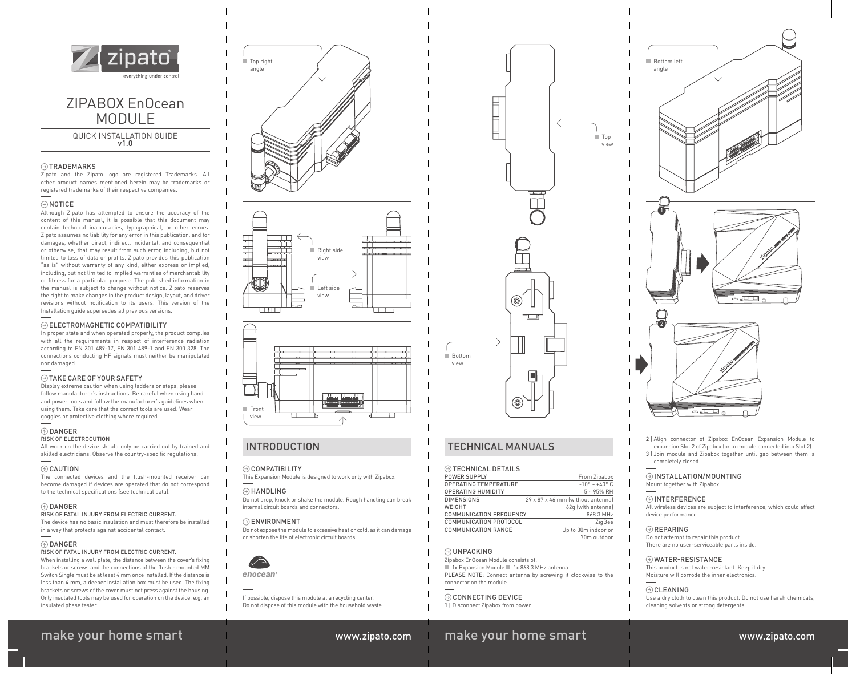

# ZIPABOX EnOcean MODUL<sub>F</sub>

QUICK INSTALLATION GUIDE v1.0

#### **OTRADEMARKS**

Zipato and the Zipato logo are registered Trademarks. All other product names mentioned herein may be trademarks or registered trademarks of their respective companies.

#### $\odot$  NOTICE

Although Zipato has attempted to ensure the accuracy of the content of this manual, it is possible that this document may contain technical inaccuracies, typographical, or other errors. Zipato assumes no liability for any error in this publication, and for damages, whether direct, indirect, incidental, and consequential or otherwise, that may result from such error, including, but not limited to loss of data or profits. Zipato provides this publication "as is" without warranty of any kind, either express or implied, including, but not limited to implied warranties of merchantability or fitness for a particular purpose. The published information in the manual is subject to change without notice. Zipato reserves the right to make changes in the product design, layout, and driver revisions without notification to its users. This version of the Installation guide supersedes all previous versions.

#### ELECTROMAGNETIC COMPATIBILITY

In proper state and when operated properly, the product complies with all the requirements in respect of interference radiation according to EN 301 489-17, EN 301 489-1 and EN 300 328. The connections conducting HF signals must neither be manipulated nor damaged.

#### TAKE CARE OF YOUR SAFETY

Display extreme caution when using ladders or steps, please follow manufacturer's instructions. Be careful when using hand and power tools and follow the manufacturer's guidelines when using them. Take care that the correct tools are used. Wear goggles or protective clothing where required.

### $\circledR$  DANGER

RISK OF ELECTROCUTION

All work on the device should only be carried out by trained and skilled electricians. Observe the country-specific regulations.

#### CAUTION

The connected devices and the flush-mounted receiver can become damaged if devices are operated that do not correspond to the technical specifications (see technical data).

#### DANGER

RISK OF FATAL INJURY FROM ELECTRIC CURRENT. The device has no basic insulation and must therefore be installed in a way that protects against accidental contact.

#### $\circledR$  DANGER

#### RISK OF FATAL INJURY FROM ELECTRIC CURRENT.

When installing a wall plate, the distance between the cover's fixing brackets or screws and the connections of the flush - mounted MM Switch Single must be at least 4 mm once installed. If the distance is less than  $4$  mm, a deeper installation box must be used. The fixing brackets or screws of the cover must not press against the housing. Only insulated tools may be used for operation on the device, e.g. an insulated phase tester.







## INTRODUCTION

#### COMPATIBILITY

This Expansion Module is designed to work only with Zipabox.

#### $\odot$  HANDLING

Do not drop, knock or shake the module. Rough handling can break internal circuit boards and connectors.

#### $\odot$ ENVIRONMENT

Do not expose the module to excessive heat or cold, as it can damage or shorten the life of electronic circuit boards.



If possible, dispose this module at a recycling center. Do not dispose of this module with the household waste.



# TECHNICAL MANUALS

### TECHNICAL DETAILS

| <b>POWER SUPPLY</b>            | From Zipabox                      |
|--------------------------------|-----------------------------------|
| <b>OPERATING TEMPERATURE</b>   | $-10^{\circ} - +40^{\circ}$ C     |
| <b>OPERATING HUMIDITY</b>      | $5 - 95%$ RH                      |
| <b>DIMENSIONS</b>              | 29 x 87 x 46 mm (without antennal |
| WEIGHT                         | 62q (with antenna)                |
| <b>COMMUNICATION FREQUENCY</b> | 868.3 MHz                         |
| <b>COMMUNICATION PROTOCOL</b>  | ZiaBee                            |
| COMMUNICATION RANGE            | Up to 30m indoor or               |
|                                | 70m outdoor                       |

#### **OUNPACKING**

Zipabox EnOcean Module consists of: ■ 1x Expansion Module ■ 1x 868.3 MHz antenna PLEASE NOTE: Connect antenna by screwing it clockwise to the connector on the module

#### **CONNECTING DEVICE**

1 | Disconnect Zipabox from power

# make your home smart www.zipato.com make your home smart www.zipato.com



2 | Align connector of Zipabox EnOcean Expansion Module to expansion Slot 2 of Zipabox (or to module connected into Slot 2) 3 | Join module and Zipabox together until gap between them is completely closed.

#### $\odot$  INSTALLATION/MOUNTING

 $\overline{\phantom{a}}\circ\overline{\phantom{a}}$ 

Mount together with Zipabox.

#### $\circledR$  INTERFERENCE

All wireless devices are subject to interference, which could affect device performance.

#### $\odot$ REPARING

Do not attempt to repair this product. There are no user-serviceable parts inside.

#### WATER-RESISTANCE

This product is not water-resistant. Keep it dry. Moisture will corrode the inner electronics.

#### $\odot$ CLEANING

Use a dry cloth to clean this product. Do not use harsh chemicals, cleaning solvents or strong detergents.